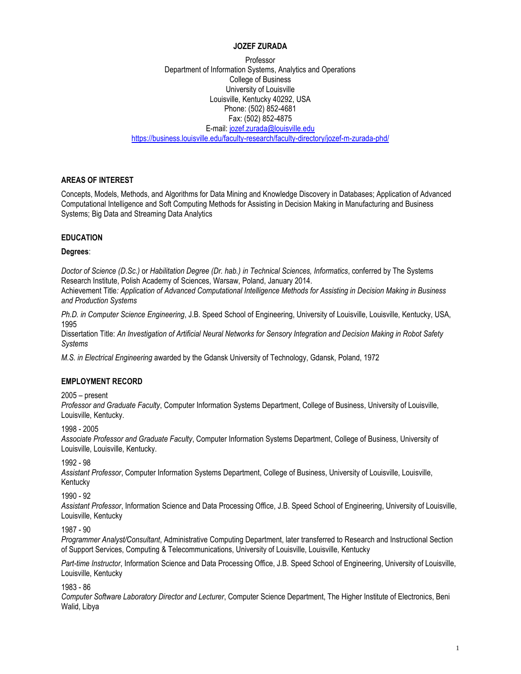#### **JOZEF ZURADA**

Professor Department of Information Systems, Analytics and Operations College of Business University of Louisville Louisville, Kentucky 40292, USA Phone: (502) 852-4681 Fax: (502) 852-4875 E-mail: [jozef.zurada@louisville.edu](mailto:jmzura01@louisville.edu) <https://business.louisville.edu/faculty-research/faculty-directory/jozef-m-zurada-phd/>

#### **AREAS OF INTEREST**

Concepts, Models, Methods, and Algorithms for Data Mining and Knowledge Discovery in Databases; Application of Advanced Computational Intelligence and Soft Computing Methods for Assisting in Decision Making in Manufacturing and Business Systems; Big Data and Streaming Data Analytics

### **EDUCATION**

#### **Degrees**:

*Doctor of Science (D.Sc.)* or *Habilitation Degree (Dr. hab.) in Technical Sciences, Informatics*, conferred by The Systems Research Institute, Polish Academy of Sciences, Warsaw, Poland, January 2014.

Achievement Title*: Application of Advanced Computational Intelligence Methods for Assisting in Decision Making in Business and Production Systems*

*Ph.D. in Computer Science Engineering*, J.B. Speed School of Engineering, University of Louisville, Louisville, Kentucky, USA, 1995

Dissertation Title: *An Investigation of Artificial Neural Networks for Sensory Integration and Decision Making in Robot Safety Systems*

*M.S. in Electrical Engineering* awarded by the Gdansk University of Technology, Gdansk, Poland, 1972

#### **EMPLOYMENT RECORD**

#### 2005 – present

*Professor and Graduate Faculty*, Computer Information Systems Department, College of Business, University of Louisville, Louisville, Kentucky.

1998 - 2005

*Associate Professor and Graduate Faculty*, Computer Information Systems Department, College of Business, University of Louisville, Louisville, Kentucky.

1992 - 98

*Assistant Professor*, Computer Information Systems Department, College of Business, University of Louisville, Louisville, Kentucky

1990 - 92

*Assistant Professor*, Information Science and Data Processing Office, J.B. Speed School of Engineering, University of Louisville, Louisville, Kentucky

1987 - 90

*Programmer Analyst/Consultant*, Administrative Computing Department, later transferred to Research and Instructional Section of Support Services, Computing & Telecommunications, University of Louisville, Louisville, Kentucky

*Part-time Instructor*, Information Science and Data Processing Office, J.B. Speed School of Engineering, University of Louisville, Louisville, Kentucky

1983 - 86

*Computer Software Laboratory Director and Lecturer*, Computer Science Department, The Higher Institute of Electronics, Beni Walid, Libya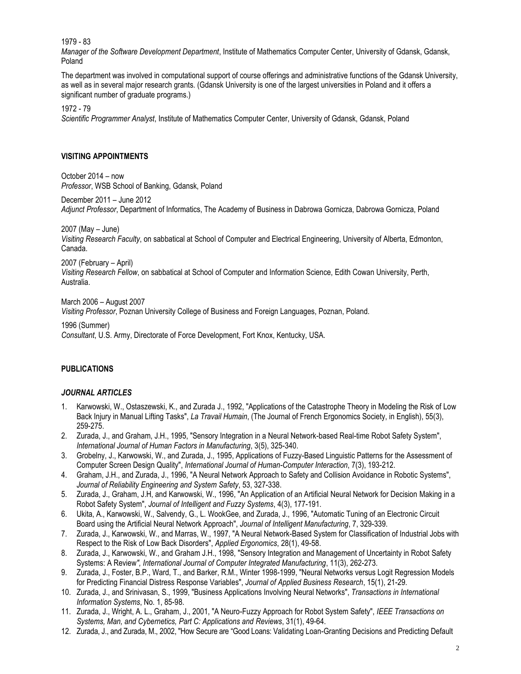1979 - 83

*Manager of the Software Development Department*, Institute of Mathematics Computer Center, University of Gdansk, Gdansk, Poland

The department was involved in computational support of course offerings and administrative functions of the Gdansk University, as well as in several major research grants. (Gdansk University is one of the largest universities in Poland and it offers a significant number of graduate programs.)

1972 - 79

*Scientific Programmer Analyst*, Institute of Mathematics Computer Center, University of Gdansk, Gdansk, Poland

### **VISITING APPOINTMENTS**

October 2014 – now *Professor*, WSB School of Banking, Gdansk, Poland

December 2011 – June 2012

*Adjunct Professor*, Department of Informatics, The Academy of Business in Dabrowa Gornicza, Dabrowa Gornicza, Poland

2007 (May – June)

*Visiting Research Faculty*, on sabbatical at School of Computer and Electrical Engineering, University of Alberta, Edmonton, Canada.

2007 (February – April)

*Visiting Research Fellow*, on sabbatical at School of Computer and Information Science, Edith Cowan University, Perth, Australia.

March 2006 – August 2007

*Visiting Professor*, Poznan University College of Business and Foreign Languages, Poznan, Poland.

1996 (Summer)

*Consultant*, U.S. Army, Directorate of Force Development, Fort Knox, Kentucky, USA.

### **PUBLICATIONS**

#### *JOURNAL ARTICLES*

- 1. Karwowski, W., Ostaszewski, K., and Zurada J., 1992, "Applications of the Catastrophe Theory in Modeling the Risk of Low Back Injury in Manual Lifting Tasks", *La Travail Humain*, (The Journal of French Ergonomics Society, in English), 55(3), 259-275.
- 2. Zurada, J., and Graham, J.H., 1995, "Sensory Integration in a Neural Network-based Real-time Robot Safety System", *International Journal of Human Factors in Manufacturing*, 3(5), 325-340.
- 3. Grobelny, J., Karwowski, W., and Zurada, J., 1995, Applications of Fuzzy-Based Linguistic Patterns for the Assessment of Computer Screen Design Quality", *International Journal of Human-Computer Interaction*, 7(3), 193-212.
- 4. Graham, J.H., and Zurada, J., 1996, "A Neural Network Approach to Safety and Collision Avoidance in Robotic Systems", *Journal of Reliability Engineering and System Safety*, 53, 327-338.
- 5. Zurada, J., Graham, J.H, and Karwowski, W., 1996, "An Application of an Artificial Neural Network for Decision Making in a Robot Safety System", *Journal of Intelligent and Fuzzy Systems*, 4(3), 177-191.
- 6. Ukita, A., Karwowski, W., Salvendy, G., L. WookGee, and Zurada, J., 1996, "Automatic Tuning of an Electronic Circuit Board using the Artificial Neural Network Approach", *Journal of Intelligent Manufacturing*, 7, 329-339.
- 7. Zurada, J., Karwowski, W., and Marras, W., 1997, "A Neural Network-Based System for Classification of Industrial Jobs with Respect to the Risk of Low Back Disorders", *Applied Ergonomics*, 28(1), 49-58.
- 8. Zurada, J., Karwowski, W., and Graham J.H., 1998, "Sensory Integration and Management of Uncertainty in Robot Safety Systems: A Review*", International Journal of Computer Integrated Manufacturing*, 11(3), 262-273.
- 9. Zurada, J., Foster, B.P., Ward, T., and Barker, R.M., Winter 1998-1999, "Neural Networks versus Logit Regression Models for Predicting Financial Distress Response Variables", *Journal of Applied Business Research*, 15(1), 21-29.
- 10. Zurada, J., and Srinivasan, S., 1999, "Business Applications Involving Neural Networks", *Transactions in International Information Systems*, No. 1, 85-98.
- 11. Zurada, J., Wright, A. L., Graham, J., 2001, "A Neuro-Fuzzy Approach for Robot System Safety", *IEEE Transactions on Systems, Man, and Cybernetics, Part C: Applications and Reviews*, 31(1), 49-64.
- 12. Zurada, J., and Zurada, M., 2002, "How Secure are "Good Loans: Validating Loan-Granting Decisions and Predicting Default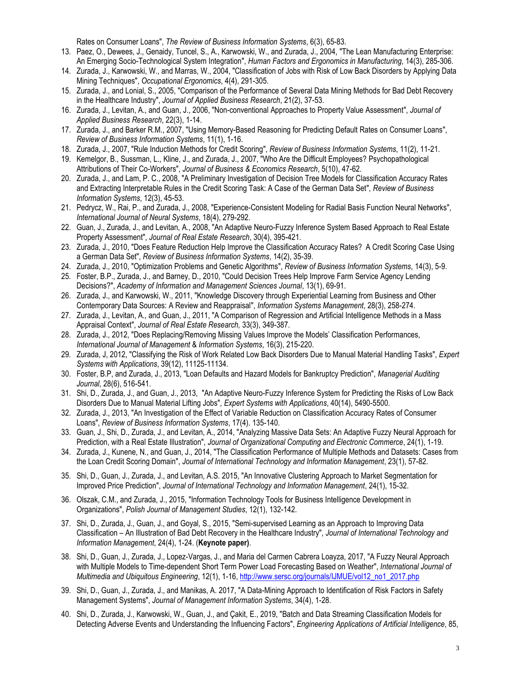Rates on Consumer Loans", *The Review of Business Information Systems*, 6(3), 65-83.

- 13. Paez, O., Dewees, J., Genaidy, Tuncel, S., A., Karwowski, W., and Zurada, J., 2004, "The Lean Manufacturing Enterprise: An Emerging Socio-Technological System Integration", *Human Factors and Ergonomics in Manufacturing*, 14(3), 285-306.
- 14. Zurada, J., Karwowski, W., and Marras, W., 2004, "Classification of Jobs with Risk of Low Back Disorders by Applying Data Mining Techniques", *Occupational Ergonomics*, 4(4), 291-305.
- 15. Zurada, J., and Lonial, S., 2005, "Comparison of the Performance of Several Data Mining Methods for Bad Debt Recovery in the Healthcare Industry", *Journal of Applied Business Research*, 21(2), 37-53.
- 16. Zurada, J., Levitan, A., and Guan, J., 2006, "Non-conventional Approaches to Property Value Assessment", *Journal of Applied Business Research*, 22(3), 1-14.
- 17. Zurada, J., and Barker R.M., 2007, "Using Memory-Based Reasoning for Predicting Default Rates on Consumer Loans", *Review of Business Information Systems*, 11(1), 1-16.
- 18. Zurada, J., 2007, "Rule Induction Methods for Credit Scoring", *Review of Business Information Systems*, 11(2), 11-21.
- 19. Kemelgor, B., Sussman, L., Kline, J., and Zurada, J., 2007, "Who Are the Difficult Employees? Psychopathological Attributions of Their Co-Workers", *Journal of Business & Economics Research*, 5(10), 47-62.
- 20. Zurada, J., and Lam, P. C., 2008, "A Preliminary Investigation of Decision Tree Models for Classification Accuracy Rates and Extracting Interpretable Rules in the Credit Scoring Task: A Case of the German Data Set", *Review of Business Information Systems*, 12(3), 45-53.
- 21. Pedrycz, W., Rai, P., and Zurada, J., 2008, "Experience-Consistent Modeling for Radial Basis Function Neural Networks", *International Journal of Neural Systems*, 18(4), 279-292.
- 22. Guan, J., Zurada, J., and Levitan, A., 2008, "An Adaptive Neuro-Fuzzy Inference System Based Approach to Real Estate Property Assessment", *Journal of Real Estate Research*, 30(4), 395-421.
- 23. Zurada, J., 2010, "Does Feature Reduction Help Improve the Classification Accuracy Rates? A Credit Scoring Case Using a German Data Set", *Review of Business Information Systems*, 14(2), 35-39.
- 24. Zurada, J., 2010, "Optimization Problems and Genetic Algorithms", *Review of Business Information Systems*, 14(3), 5-9.
- 25. Foster, B.P., Zurada, J., and Barney, D., 2010, "Could Decision Trees Help Improve Farm Service Agency Lending Decisions?", *[Academy of Information and Management Sciences Journal](http://www.alliedacademies.org/Public/Journals/JournalDetails.aspx?jid=10)*, 13(1), 69-91.
- 26. Zurada, J., and Karwowski, W., 2011, "Knowledge Discovery through Experiential Learning from Business and Other Contemporary Data Sources: A Review and Reappraisal", *Information Systems Management*, 28(3), 258-274.
- 27. Zurada, J., Levitan, A., and Guan, J., 2011, ["A Comparison of Regression and Artificial Intelligence Methods in a Mass](http://aux.zicklin.baruch.cuny.edu/jrer/papers/abstract/forth/accepted/jrer_151(091004R3).htm)  [Appraisal Context"](http://aux.zicklin.baruch.cuny.edu/jrer/papers/abstract/forth/accepted/jrer_151(091004R3).htm), *Journal of Real Estate Research,* 33(3), 349-387.
- 28. Zurada, J., 2012, "Does Replacing/Removing Missing Values Improve the Models' Classification Performances, *International Journal of Management* & *Information Systems*, 16(3), 215-220.
- 29. Zurada, J, 2012, "Classifying the Risk of Work Related Low Back Disorders Due to Manual Material Handling Tasks", *Expert Systems with Applications*, 39(12), 11125-11134.
- 30. Foster, B.P, and Zurada, J., 2013, "Loan Defaults and Hazard Models for Bankruptcy Prediction", *Managerial Auditing Journal*, 28(6), 516-541.
- 31. Shi, D., Zurada, J., and Guan, J., 2013, "An Adaptive Neuro-Fuzzy Inference System for Predicting the Risks of Low Back Disorders Due to Manual Material Lifting Jobs", *Expert Systems with Applications*, 40(14), 5490-5500.
- 32. Zurada, J., 2013, "An Investigation of the Effect of Variable Reduction on Classification Accuracy Rates of Consumer Loans", *Review of Business Information Systems*, 17(4). 135-140.
- 33. Guan, J., Shi, D., Zurada, J., and Levitan, A., 2014, "Analyzing Massive Data Sets: An Adaptive Fuzzy Neural Approach for Prediction, with a Real Estate Illustration", *Journal of Organizational Computing and Electronic Commerce*, 24(1), 1-19.
- 34. Zurada, J., Kunene, N., and Guan, J., 2014, "The Classification Performance of Multiple Methods and Datasets: Cases from the Loan Credit Scoring Domain", *Journal of International Technology and Information Management*, 23(1), 57-82.
- 35. Shi, D., Guan, J., Zurada, J., and Levitan, A.S. 2015, "An Innovative Clustering Approach to Market Segmentation for Improved Price Prediction", *Journal of International Technology and Information Management*, 24(1), 15-32.
- 36. Olszak, C.M., and Zurada, J., 2015, "Information Technology Tools for Business Intelligence Development in Organizations", *Polish Journal of Management Studies*, 12(1), 132-142.
- 37. Shi, D., Zurada, J., Guan, J., and Goyal, S., 2015, "Semi-supervised Learning as an Approach to Improving Data Classification – An Illustration of Bad Debt Recovery in the Healthcare Industry", *Journal of International Technology and Information Management*, 24(4), 1-24. (**Keynote paper)**.
- 38. Shi, D., Guan, J., Zurada, J., Lopez-Vargas, J., and Maria del Carmen Cabrera Loayza, 2017, "A Fuzzy Neural Approach with Multiple Models to Time-dependent Short Term Power Load Forecasting Based on Weather", *International Journal of Multimedia and Ubiquitous Engineering*, 12(1), 1-16, [http://www.sersc.org/journals/IJMUE/vol12\\_no1\\_2017.php](http://www.sersc.org/journals/IJMUE/vol12_no1_2017.php)
- 39. Shi, D., Guan, J., Zurada, J., and Manikas, A. 2017, "A Data-Mining Approach to Identification of Risk Factors in Safety Management Systems", *Journal of Management Information Systems*, 34(4), 1-28.
- 40. Shi, D., Zurada, J., Karwowski, W., Guan, J., and Çakit, E., 2019, "Batch and Data Streaming Classification Models for Detecting Adverse Events and Understanding the Influencing Factors", *Engineering Applications of Artificial Intelligence*, 85,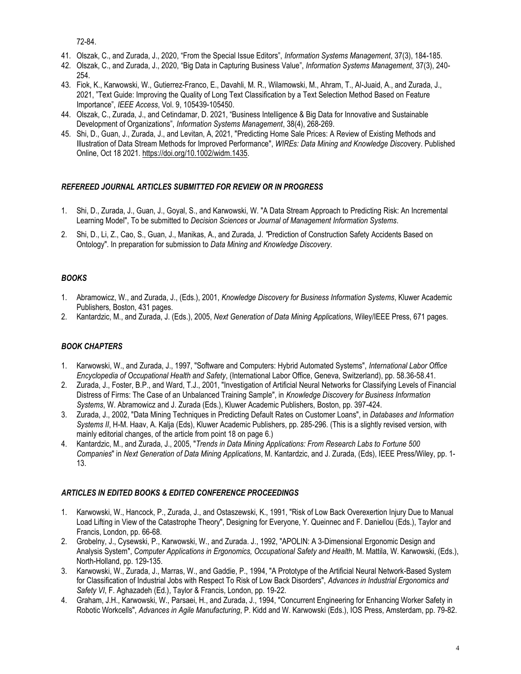72-84.

- 41. Olszak, C., and Zurada, J., 2020, "From the Special Issue Editors", *Information Systems Management*, 37(3), 184-185.
- 42. Olszak, C., and Zurada, J., 2020, "Big Data in Capturing Business Value", *Information Systems Management*, 37(3), 240- 254.
- 43. Fiok, K., Karwowski, W., Gutierrez-Franco, E., Davahli, M. R., Wilamowski, M., Ahram, T., Al-Juaid, A., and Zurada, J., 2021, "Text Guide: Improving the Quality of Long Text Classification by a Text Selection Method Based on Feature Importance", *IEEE Access*, Vol. 9, 105439-105450.
- 44. Olszak, C., Zurada, J., and Cetindamar, D. 2021, "Business Intelligence & Big Data for Innovative and Sustainable Development of Organizations", *Information Systems Management*, 38(4), 268-269.
- 45. Shi, D., Guan, J., Zurada, J., and Levitan, A, 2021, "Predicting Home Sale Prices: A Review of Existing Methods and Illustration of Data Stream Methods for Improved Performance", *WIREs: Data Mining and Knowledge Disco*very. Published Online, Oct 18 2021. [https://doi.org/10.1002/widm.1435.](https://doi.org/10.1002/widm.1435)

### *REFEREED JOURNAL ARTICLES SUBMITTED FOR REVIEW OR IN PROGRESS*

- 1. Shi, D., Zurada, J., Guan, J., Goyal, S., and Karwowski, W. "A Data Stream Approach to Predicting Risk: An Incremental Learning Model", To be submitted to *Decision Sciences* or *Journal of Management Information Systems*.
- 2. Shi, D., Li, Z., Cao, S., Guan, J., Manikas, A., and Zurada, J. *"*Prediction of Construction Safety Accidents Based on Ontology". In preparation for submission to *Data Mining and Knowledge Discovery*.

### *BOOKS*

- 1. Abramowicz, W., and Zurada, J., (Eds.), 2001, *Knowledge Discovery for Business Information Systems*, Kluwer Academic Publishers, Boston, 431 pages.
- 2. Kantardzic, M., and Zurada, J. (Eds.), 2005, *Next Generation of Data Mining Applications*, Wiley/IEEE Press, 671 pages.

# *BOOK CHAPTERS*

- 1. Karwowski, W., and Zurada, J., 1997, "Software and Computers: Hybrid Automated Systems", *International Labor Office Encyclopedia of Occupational Health and Safety*, (International Labor Office, Geneva, Switzerland), pp. 58.36-58.41.
- 2. Zurada, J., Foster, B.P., and Ward, T.J., 2001, "Investigation of Artificial Neural Networks for Classifying Levels of Financial Distress of Firms: The Case of an Unbalanced Training Sample", in *Knowledge Discovery for Business Information Systems*, W. Abramowicz and J. Zurada (Eds.), Kluwer Academic Publishers, Boston, pp. 397-424.
- 3. Zurada, J., 2002, "Data Mining Techniques in Predicting Default Rates on Customer Loans", in *Databases and Information Systems II*, H-M. Haav, A. Kalja (Eds), Kluwer Academic Publishers, pp. 285-296. (This is a slightly revised version, with mainly editorial changes, of the article from point 18 on page 6.)
- 4. Kantardzic, M., and Zurada, J., 2005, "*Trends in Data Mining Applications: From Research Labs to Fortune 500 Companies*" in *Next Generation of Data Mining Applications*, M. Kantardzic, and J. Zurada, (Eds), IEEE Press/Wiley, pp. 1- 13.

### *ARTICLES IN EDITED BOOKS & EDITED CONFERENCE PROCEEDINGS*

- 1. Karwowski, W., Hancock, P., Zurada, J., and Ostaszewski, K., 1991, "Risk of Low Back Overexertion Injury Due to Manual Load Lifting in View of the Catastrophe Theory", Designing for Everyone, Y. Queinnec and F. Daniellou (Eds.), Taylor and Francis, London, pp. 66-68.
- 2. Grobelny, J., Cysewski, P., Karwowski, W., and Zurada. J., 1992, "APOLIN: A 3-Dimensional Ergonomic Design and Analysis System", *Computer Applications in Ergonomics, Occupational Safety and Health*, M. Mattila, W. Karwowski, (Eds.), North-Holland, pp. 129-135.
- 3. Karwowski, W., Zurada, J., Marras, W., and Gaddie, P., 1994, "A Prototype of the Artificial Neural Network-Based System for Classification of Industrial Jobs with Respect To Risk of Low Back Disorders", *Advances in Industrial Ergonomics and Safety VI*, F. Aghazadeh (Ed.), Taylor & Francis, London, pp. 19-22.
- 4. Graham, J.H., Karwowski, W., Parsaei, H., and Zurada, J., 1994, "Concurrent Engineering for Enhancing Worker Safety in Robotic Workcells", *Advances in Agile Manufacturing*, P. Kidd and W. Karwowski (Eds.), IOS Press, Amsterdam, pp. 79-82.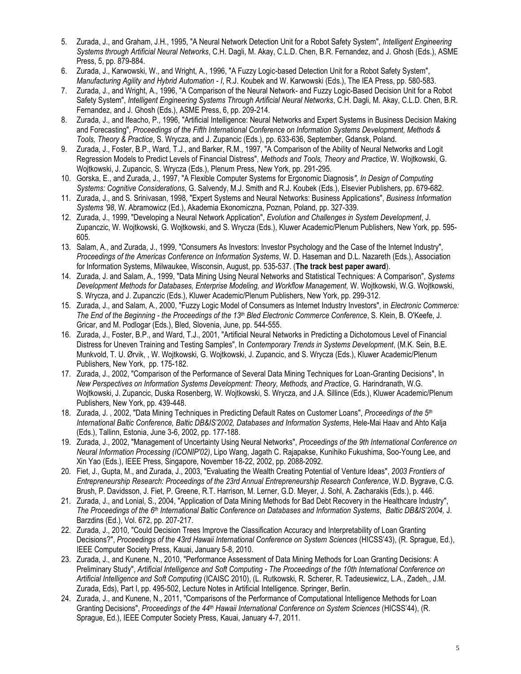- 5. Zurada, J., and Graham, J.H., 1995, "A Neural Network Detection Unit for a Robot Safety System", *Intelligent Engineering Systems through Artificial Neural Networks*, C.H. Dagli, M. Akay, C.L.D. Chen, B.R. Fernandez, and J. Ghosh (Eds.), ASME Press, 5, pp. 879-884.
- 6. Zurada, J., Karwowski, W., and Wright, A., 1996, "A Fuzzy Logic-based Detection Unit for a Robot Safety System", *Manufacturing Agility and Hybrid Automation - I*, R.J. Koubek and W. Karwowski (Eds.), The IEA Press, pp. 580-583.
- 7. Zurada, J., and Wright, A., 1996, "A Comparison of the Neural Network- and Fuzzy Logic-Based Decision Unit for a Robot Safety System", *Intelligent Engineering Systems Through Artificial Neural Networks*, C.H. Dagli, M. Akay, C.L.D. Chen, B.R. Fernandez, and J. Ghosh (Eds.), ASME Press, 6, pp. 209-214.
- 8. Zurada, J., and Ifeacho, P., 1996, "Artificial Intelligence: Neural Networks and Expert Systems in Business Decision Making and Forecasting", *Proceedings of the Fifth International Conference on Information Systems Development, Methods & Tools, Theory & Practice*, S. Wrycza, and J. Zupancic (Eds.), pp. 633-636, September, Gdansk, Poland.
- 9. Zurada, J., Foster, B.P., Ward, T.J., and Barker, R.M., 1997, "A Comparison of the Ability of Neural Networks and Logit Regression Models to Predict Levels of Financial Distress", *Methods and Tools, Theory and Practice*, W. Wojtkowski, G. Wojtkowski, J. Zupancic, S. Wrycza (Eds.), Plenum Press, New York, pp. 291-295.
- 10. Gorska, E., and Zurada, J., 1997, "A Flexible Computer Systems for Ergonomic Diagnosis*", In Design of Computing Systems: Cognitive Considerations*, G. Salvendy, M.J. Smith and R.J. Koubek (Eds.), Elsevier Publishers, pp. 679-682.
- 11. Zurada, J., and S. Srinivasan, 1998, "Expert Systems and Neural Networks: Business Applications", *Business Information Systems '98*, W. Abramowicz (Ed.), Akademia Ekonomiczna, Poznan, Poland, pp. 327-339.
- 12. Zurada, J., 1999, "Developing a Neural Network Application", *Evolution and Challenges in System Development*, J. Zupanczic, W. Wojtkowski, G. Wojtkowski, and S. Wrycza (Eds.), Kluwer Academic/Plenum Publishers, New York, pp. 595- 605.
- 13. Salam, A., and Zurada, J., 1999, "Consumers As Investors: Investor Psychology and the Case of the Internet Industry", *Proceedings of the Americas Conference on Information Systems*, W. D. Haseman and D.L. Nazareth (Eds.), Association for Information Systems, Milwaukee, Wisconsin, August, pp. 535-537. (**The track best paper award**).
- 14. Zurada, J. and Salam, A., 1999, "Data Mining Using Neural Networks and Statistical Techniques: A Comparison", *Systems Development Methods for Databases, Enterprise Modeling, and Workflow Management,* W. Wojtkowski, W.G. Wojtkowski, S. Wrycza, and J. Zupanczic (Eds.), Kluwer Academic/Plenum Publishers, New York, pp. 299-312.
- 15. Zurada, J., and Salam, A., 2000, "Fuzzy Logic Model of Consumers as Internet Industry Investors", in *Electronic Commerce: The End of the Beginning - the Proceedings of the 13th Bled Electronic Commerce Conference*, S. Klein, B. O'Keefe, J. Gricar, and M. Podlogar (Eds.), Bled, Slovenia, June, pp. 544-555.
- 16. Zurada, J., Foster, B.P., and Ward, T.J., 2001, "Artificial Neural Networks in Predicting a Dichotomous Level of Financial Distress for Uneven Training and Testing Samples", In *Contemporary Trends in Systems Development*, (M.K. Sein, B.E. Munkvold, T. U. Ørvik, , W. Wojtkowski, G. Wojtkowski, J. Zupancic, and S. Wrycza (Eds.), Kluwer Academic/Plenum Publishers, New York, pp. 175-182.
- 17. Zurada, J., 2002, "Comparison of the Performance of Several Data Mining Techniques for Loan-Granting Decisions", In *New Perspectives on Information Systems Development: Theory, Methods, and Practice*, G. Harindranath, W.G. Wojtkowski, J. Zupancic, Duska Rosenberg, W. Wojtkowski, S. Wrycza, and J.A. Sillince (Eds.), Kluwer Academic/Plenum Publishers, New York, pp. 439-448.
- 18. Zurada, J. , 2002, "Data Mining Techniques in Predicting Default Rates on Customer Loans", *Proceedings of the 5th International Baltic Conference, Baltic DB&IS'2002, Databases and Information Systems*, Hele-Mai Haav and Ahto Kalja (Eds.), Tallinn, Estonia, June 3-6, 2002, pp. 177-188.
- 19. Zurada, J., 2002, "Management of Uncertainty Using Neural Networks", *Proceedings of the 9th International Conference on Neural Information Processing (ICONIP'02)*, Lipo Wang, Jagath C. Rajapakse, Kunihiko Fukushima, Soo-Young Lee, and Xin Yao (Eds.), IEEE Press, Singapore, November 18-22, 2002, pp. 2088-2092.
- 20. Fiet, J., Gupta, M., and Zurada, J., 2003, "Evaluating the Wealth Creating Potential of Venture Ideas", *2003 Frontiers of Entrepreneurship Research: Proceedings of the 23rd Annual Entrepreneurship Research Conference*, W.D. Bygrave, C.G. Brush, P. Davidsson, J. Fiet, P. Greene, R.T. Harrison, M. Lerner, G.D. Meyer, J. Sohl, A. Zacharakis (Eds.), p. 446.
- 21. Zurada, J., and Lonial, S., 2004, "Application of Data Mining Methods for Bad Debt Recovery in the Healthcare Industry", *The Proceedings of the 6th International Baltic Conference on Databases and Information Systems*, *Baltic DB&IS'2004,* J. Barzdins (Ed.), Vol. 672, pp. 207-217.
- 22. Zurada, J., 2010, "Could Decision Trees Improve the Classification Accuracy and Interpretability of Loan Granting Decisions?", *Proceedings of the 43rd Hawaii International Conference on System Sciences* (HICSS'43), (R. Sprague, Ed.), IEEE Computer Society Press, Kauai, January 5-8, 2010.
- 23. Zurada, J., and Kunene, N., 2010, "Performance Assessment of Data Mining Methods for Loan Granting Decisions: A Preliminary Study", *Artificial Intelligence and Soft Computing - The Proceedings of the 10th International Conference on Artificial Intelligence and Soft Computing* (ICAISC 2010), (L. Rutkowski, R. Scherer, R. Tadeusiewicz, L.A., Zadeh,, J.M. Zurada, Eds), Part I, pp. 495-502, Lecture Notes in Artificial Intelligence. Springer, Berlin.
- 24. Zurada, J., and Kunene, N., 2011, "Comparisons of the Performance of Computational Intelligence Methods for Loan Granting Decisions", *Proceedings of the 44th Hawaii International Conference on System Sciences* (HICSS'44), (R. Sprague, Ed.), IEEE Computer Society Press, Kauai, January 4-7, 2011.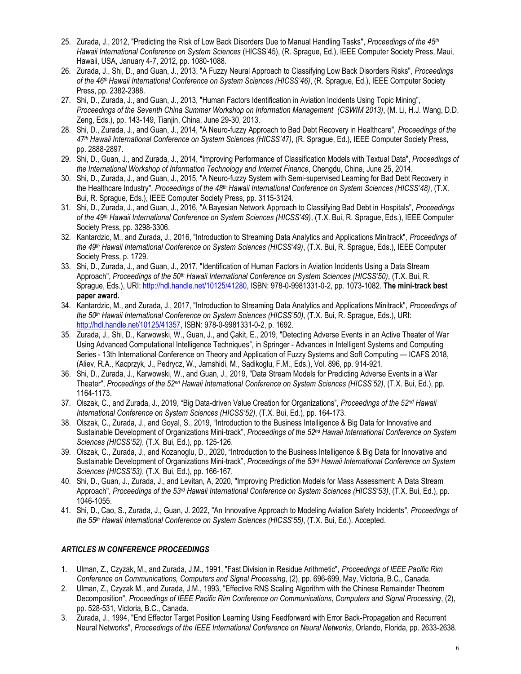- 25. Zurada, J., 2012, "Predicting the Risk of Low Back Disorders Due to Manual Handling Tasks", *Proceedings of the 45th Hawaii International Conference on System Sciences* (HICSS'45), (R. Sprague, Ed.), IEEE Computer Society Press, Maui, Hawaii, USA, January 4-7, 2012, pp. 1080-1088.
- 26. Zurada, J., Shi, D., and Guan, J., 2013, "A Fuzzy Neural Approach to Classifying Low Back Disorders Risks", *Proceedings of the 46th Hawaii International Conference on System Sciences (HICSS'46)*, (R. Sprague, Ed.), IEEE Computer Society Press, pp. 2382-2388.
- 27. Shi, D., Zurada, J., and Guan, J., 2013, "Human Factors Identification in Aviation Incidents Using Topic Mining", *Proceedings of the Seventh China Summer Workshop on Information Management (CSWIM 2013)*, (M. Li, H.J. Wang, D.D. Zeng, Eds.), pp. 143-149, Tianjin, China, June 29-30, 2013.
- 28. Shi, D., Zurada, J., and Guan, J., 2014, "A Neuro-fuzzy Approach to Bad Debt Recovery in Healthcare", *Proceedings of the 47th Hawaii International Conference on System Sciences (HICSS'47)*, (R. Sprague, Ed.), IEEE Computer Society Press, pp. 2888-2897.
- 29. Shi, D., Guan, J., and Zurada, J., 2014, "Improving Performance of Classification Models with Textual Data", *Proceedings of the International Workshop of Information Technology and Internet Finance*, Chengdu, China, June 25, 2014.
- 30. Shi, D., Zurada, J., and Guan, J., 2015, "A Neuro-fuzzy System with Semi-supervised Learning for Bad Debt Recovery in the Healthcare Industry", *Proceedings of the 48th Hawaii International Conference on System Sciences (HICSS'48)*, (T.X. Bui, R. Sprague, Eds.), IEEE Computer Society Press, pp. 3115-3124.
- 31. Shi, D., Zurada, J., and Guan, J., 2016, "A Bayesian Network Approach to Classifying Bad Debt in Hospitals", *Proceedings of the 49th Hawaii International Conference on System Sciences (HICSS'49)*, (T.X. Bui, R. Sprague, Eds.), IEEE Computer Society Press, pp. 3298-3306.
- 32. Kantardzic, M., and Zurada, J., 2016, "Introduction to Streaming Data Analytics and Applications Minitrack", *Proceedings of the 49th Hawaii International Conference on System Sciences (HICSS'49)*, (T.X. Bui, R. Sprague, Eds.), IEEE Computer Society Press, p. 1729.
- 33. Shi, D., Zurada, J., and Guan, J., 2017, "Identification of Human Factors in Aviation Incidents Using a Data Stream Approach", *Proceedings of the 50th Hawaii International Conference on System Sciences (HICSS'50)*, (T.X. Bui, R. Sprague, Eds.), URI: [http://hdl.handle.net/10125/41280,](http://hdl.handle.net/10125/41280) ISBN: 978-0-9981331-0-2, pp. 1073-1082. **The mini-track best paper award.**
- 34. Kantardzic, M., and Zurada, J., 2017, "Introduction to Streaming Data Analytics and Applications Minitrack", *Proceedings of the 50th Hawaii International Conference on System Sciences (HICSS'50)*, (T.X. Bui, R. Sprague, Eds.), URI: [http://hdl.handle.net/10125/41357,](http://hdl.handle.net/10125/41357) ISBN: 978-0-9981331-0-2, p. 1692.
- 35. Zurada, J., Shi, D., Karwowski, W., Guan, J., and Çakit, E., 2019, "Detecting Adverse Events in an Active Theater of War Using Advanced Computational Intelligence Techniques", in Springer - Advances in Intelligent Systems and Computing Series - 13th International Conference on Theory and Application of Fuzzy Systems and Soft Computing — ICAFS 2018, (Aliev, R.A., Kacprzyk, J., Pedrycz, W., Jamshidi, M., Sadikoglu, F.M., Eds.), Vol. 896, pp. 914-921.
- 36. Shi, D., Zurada, J., Karwowski, W., and Guan, J., 2019, "Data Stream Models for Predicting Adverse Events in a War Theater", Proceedings of the 52<sup>nd</sup> Hawaii International Conference on System Sciences (HICSS'52), (T.X. Bui, Ed.), pp. 1164-1173.
- 37. Olszak, C., and Zurada, J., 2019, "Big Data-driven Value Creation for Organizations", *Proceedings of the 52 nd Hawaii International Conference on System Sciences (HICSS'52)*, (T.X. Bui, Ed.), pp. 164-173.
- 38. Olszak, C., Zurada, J., and Goyal, S., 2019, "Introduction to the Business Intelligence & Big Data for Innovative and Sustainable Development of Organizations Mini-track", *Proceedings of the 52 nd Hawaii International Conference on System Sciences (HICSS'52)*, (T.X. Bui, Ed.), pp. 125-126.
- 39. Olszak, C., Zurada, J., and Kozanoglu, D., 2020, "Introduction to the Business Intelligence & Big Data for Innovative and Sustainable Development of Organizations Mini-track", *Proceedings of the 53rd Hawaii International Conference on System Sciences (HICSS'53)*, (T.X. Bui, Ed.), pp. 166-167.
- 40. Shi, D., Guan, J., Zurada, J., and Levitan, A, 2020, "Improving Prediction Models for Mass Assessment: A Data Stream Approach", *Proceedings of the 53rd Hawaii International Conference on System Sciences (HICSS'53)*, (T.X. Bui, Ed.), pp. 1046-1055.
- 41. Shi, D., Cao, S., Zurada, J., Guan, J. 2022, "An Innovative Approach to Modeling Aviation Safety Incidents", *Proceedings of the 55 th Hawaii International Conference on System Sciences (HICSS'55)*, (T.X. Bui, Ed.). Accepted.

### *ARTICLES IN CONFERENCE PROCEEDINGS*

- 1. Ulman, Z., Czyzak, M., and Zurada, J.M., 1991, "Fast Division in Residue Arithmetic", *Proceedings of IEEE Pacific Rim Conference on Communications, Computers and Signal Processing*, (2), pp. 696-699, May, Victoria, B.C., Canada.
- 2. Ulman, Z., Czyzak M., and Zurada, J.M., 1993, "Effective RNS Scaling Algorithm with the Chinese Remainder Theorem Decomposition", *Proceedings of IEEE Pacific Rim Conference on Communications, Computers and Signal Processing*, (2), pp. 528-531, Victoria, B.C., Canada.
- 3. Zurada, J., 1994, "End Effector Target Position Learning Using Feedforward with Error Back-Propagation and Recurrent Neural Networks", *Proceedings of the IEEE International Conference on Neural Networks*, Orlando, Florida, pp. 2633-2638.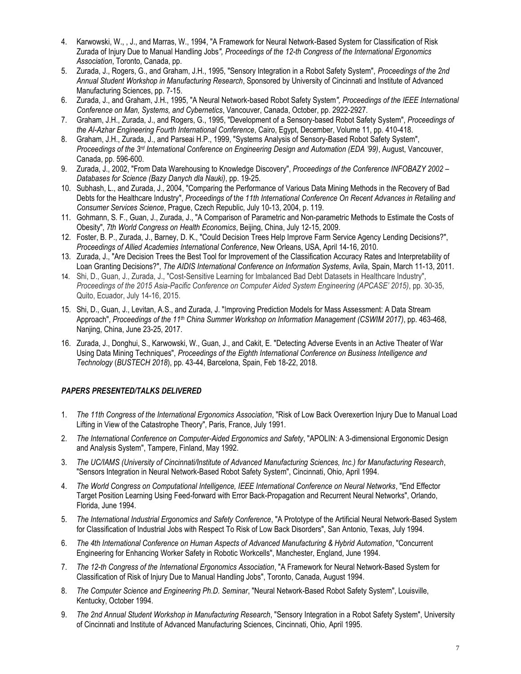- 4. Karwowski, W., , J., and Marras, W., 1994, "A Framework for Neural Network-Based System for Classification of Risk Zurada of Injury Due to Manual Handling Jobs*", Proceedings of the 12-th Congress of the International Ergonomics Association*, Toronto, Canada, pp.
- 5. Zurada, J., Rogers, G., and Graham, J.H., 1995, "Sensory Integration in a Robot Safety System", *Proceedings of the 2nd Annual Student Workshop in Manufacturing Research*, Sponsored by University of Cincinnati and Institute of Advanced Manufacturing Sciences, pp. 7-15.
- 6. Zurada, J., and Graham, J.H., 1995, "A Neural Network-based Robot Safety System*", Proceedings of the IEEE International Conference on Man, Systems, and Cybernetics*, Vancouver, Canada, October, pp. 2922-2927.
- 7. Graham, J.H., Zurada, J., and Rogers, G., 1995, "Development of a Sensory-based Robot Safety System", *Proceedings of the Al-Azhar Engineering Fourth International Conference*, Cairo, Egypt, December, Volume 11, pp. 410-418.
- 8. Graham, J.H., Zurada, J., and Parseai H.P., 1999, "Systems Analysis of Sensory-Based Robot Safety System", *Proceedings of the 3rd International Conference on Engineering Design and Automation (EDA '99)*, August, Vancouver, Canada, pp. 596-600.
- 9. Zurada, J., 2002, "From Data Warehousing to Knowledge Discovery", *Proceedings of the Conference INFOBAZY 2002 – Databases for Science (Bazy Danych dla Nauki)*, pp. 19-25.
- 10. Subhash, L., and Zurada, J., 2004, "Comparing the Performance of Various Data Mining Methods in the Recovery of Bad Debts for the Healthcare Industry", *Proceedings of* t*he 11th International Conference On Recent Advances in Retailing and Consumer Services Science*, Prague, Czech Republic, July 10-13, 2004, p. 119.
- 11. Gohmann, S. F., Guan, J., Zurada, J., "A Comparison of Parametric and Non-parametric Methods to Estimate the Costs of Obesity", *7th World Congress on Health Economics*, Beijing, China, July 12-15, 2009.
- 12. Foster, B. P., Zurada, J., Barney, D. K., "Could Decision Trees Help Improve Farm Service Agency Lending Decisions?", *Proceedings of Allied Academies International Conference*, New Orleans, USA, April 14-16, 2010.
- 13. Zurada, J., "Are Decision Trees the Best Tool for Improvement of the Classification Accuracy Rates and Interpretability of Loan Granting Decisions?", *The AIDIS International Conference on Information Systems*, Avila, Spain, March 11-13, 2011.
- 14. Shi, D., Guan, J., Zurada, J., "Cost-Sensitive Learning for Imbalanced Bad Debt Datasets in Healthcare Industry", Proceedings of the 2015 Asia-Pacific Conference on Computer Aided System Engineering (APCASE' 2015), pp. 30-35, Quito, Ecuador, July 14-16, 2015.
- 15. Shi, D., Guan, J., Levitan, A.S., and Zurada, J. "Improving Prediction Models for Mass Assessment: A Data Stream Approach", *Proceedings of the 11th China Summer Workshop on Information Management (CSWIM 2017)*, pp. 463-468, Nanjing, China, June 23-25, 2017.
- 16. Zurada, J., Donghui, S., Karwowski, W., Guan, J., and Cakit, E. "Detecting Adverse Events in an Active Theater of War Using Data Mining Techniques", *Proceedings of the Eighth International Conference on Business Intelligence and Technology* (*BUSTECH 2018*), pp. 43-44, Barcelona, Spain, Feb 18-22, 2018.

### *PAPERS PRESENTED/TALKS DELIVERED*

- 1. *The 11th Congress of the International Ergonomics Association*, "Risk of Low Back Overexertion Injury Due to Manual Load Lifting in View of the Catastrophe Theory", Paris, France, July 1991.
- 2. *The International Conference on Computer-Aided Ergonomics and Safety*, "APOLIN: A 3-dimensional Ergonomic Design and Analysis System", Tampere, Finland, May 1992.
- 3. *The UC/IAMS (University of Cincinnati/Institute of Advanced Manufacturing Sciences, Inc.) for Manufacturing Research*, "Sensors Integration in Neural Network-Based Robot Safety System", Cincinnati, Ohio, April 1994.
- 4. *The World Congress on Computational Intelligence, IEEE International Conference on Neural Networks*, "End Effector Target Position Learning Using Feed-forward with Error Back-Propagation and Recurrent Neural Networks", Orlando, Florida, June 1994.
- 5. *The International Industrial Ergonomics and Safety Conference*, "A Prototype of the Artificial Neural Network-Based System for Classification of Industrial Jobs with Respect To Risk of Low Back Disorders", San Antonio, Texas, July 1994.
- 6. *The 4th International Conference on Human Aspects of Advanced Manufacturing & Hybrid Automation*, "Concurrent Engineering for Enhancing Worker Safety in Robotic Workcells", Manchester, England, June 1994.
- 7. *The 12-th Congress of the International Ergonomics Association*, "A Framework for Neural Network-Based System for Classification of Risk of Injury Due to Manual Handling Jobs", Toronto, Canada, August 1994.
- 8. *The Computer Science and Engineering Ph.D. Seminar*, "Neural Network-Based Robot Safety System", Louisville, Kentucky, October 1994.
- 9. *The 2nd Annual Student Workshop in Manufacturing Research*, "Sensory Integration in a Robot Safety System", University of Cincinnati and Institute of Advanced Manufacturing Sciences, Cincinnati, Ohio, April 1995.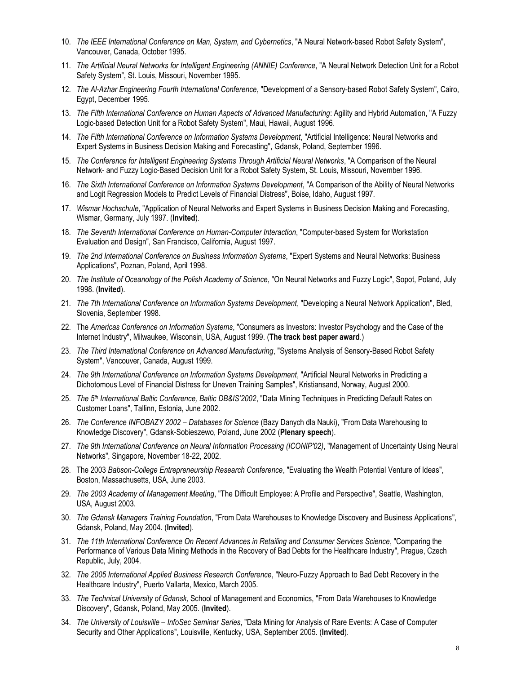- 10. *The IEEE International Conference on Man, System, and Cybernetics*, "A Neural Network-based Robot Safety System", Vancouver, Canada, October 1995.
- 11. *The Artificial Neural Networks for Intelligent Engineering (ANNIE) Conference*, "A Neural Network Detection Unit for a Robot Safety System", St. Louis, Missouri, November 1995.
- 12. *The Al-Azhar Engineering Fourth International Conference*, "Development of a Sensory-based Robot Safety System", Cairo, Egypt, December 1995.
- 13. The Fifth International Conference on Human Aspects of Advanced Manufacturing: Agility and Hybrid Automation, "A Fuzzy Logic-based Detection Unit for a Robot Safety System", Maui, Hawaii, August 1996.
- 14. *The Fifth International Conference on Information Systems Development*, "Artificial Intelligence: Neural Networks and Expert Systems in Business Decision Making and Forecasting", Gdansk, Poland, September 1996.
- 15. *The Conference for Intelligent Engineering Systems Through Artificial Neural Networks*, "A Comparison of the Neural Network- and Fuzzy Logic-Based Decision Unit for a Robot Safety System, St. Louis, Missouri, November 1996.
- 16. *The Sixth International Conference on Information Systems Development*, "A Comparison of the Ability of Neural Networks and Logit Regression Models to Predict Levels of Financial Distress", Boise, Idaho, August 1997.
- 17. *Wismar Hochschule*, "Application of Neural Networks and Expert Systems in Business Decision Making and Forecasting, Wismar, Germany, July 1997. (**Invited**).
- 18. *The Seventh International Conference on Human-Computer Interaction*, "Computer-based System for Workstation Evaluation and Design", San Francisco, California, August 1997.
- 19. *The 2nd International Conference on Business Information Systems*, "Expert Systems and Neural Networks: Business Applications", Poznan, Poland, April 1998.
- 20. *The Institute of Oceanology of the Polish Academy of Science*, "On Neural Networks and Fuzzy Logic", Sopot, Poland, July 1998. (**Invited**).
- 21. *The 7th International Conference on Information Systems Development*, "Developing a Neural Network Application", Bled, Slovenia, September 1998.
- 22. The *Americas Conference on Information Systems*, "Consumers as Investors: Investor Psychology and the Case of the Internet Industry", Milwaukee, Wisconsin, USA, August 1999. (**The track best paper award**.)
- 23. *The Third International Conference on Advanced Manufacturing*, "Systems Analysis of Sensory-Based Robot Safety System", Vancouver, Canada, August 1999.
- 24. *The 9th International Conference on Information Systems Development*, "Artificial Neural Networks in Predicting a Dichotomous Level of Financial Distress for Uneven Training Samples", Kristiansand, Norway, August 2000.
- 25. *The 5th International Baltic Conference, Baltic DB&IS'2002*, "Data Mining Techniques in Predicting Default Rates on Customer Loans", Tallinn, Estonia, June 2002.
- 26. *The Conference INFOBAZY 2002 – Databases for Science* (Bazy Danych dla Nauki), "From Data Warehousing to Knowledge Discovery", Gdansk-Sobieszewo, Poland, June 2002 (**Plenary speech**).
- 27. *The 9th International Conference on Neural Information Processing (ICONIP'02)*, "Management of Uncertainty Using Neural Networks", Singapore, November 18-22, 2002.
- 28. The 2003 *Babson-College Entrepreneurship Research Conference*, "Evaluating the Wealth Potential Venture of Ideas", Boston, Massachusetts, USA, June 2003.
- 29. *The 2003 Academy of Management Meeting*, "The Difficult Employee: A Profile and Perspective", Seattle, Washington, USA, August 2003.
- 30. *The Gdansk Managers Training Foundation*, "From Data Warehouses to Knowledge Discovery and Business Applications", Gdansk, Poland, May 2004. (**Invited**).
- 31. *The 11th International Conference On Recent Advances in Retailing and Consumer Services Science*, "Comparing the Performance of Various Data Mining Methods in the Recovery of Bad Debts for the Healthcare Industry", Prague, Czech Republic, July, 2004.
- 32. *The 2005 International Applied Business Research Conference*, "Neuro-Fuzzy Approach to Bad Debt Recovery in the Healthcare Industry", Puerto Vallarta, Mexico, March 2005.
- 33. *The Technical University of Gdansk,* School of Management and Economics, "From Data Warehouses to Knowledge Discovery", Gdansk, Poland, May 2005. (**Invited**).
- 34. *The University of Louisville – InfoSec Seminar Series*, "Data Mining for Analysis of Rare Events: A Case of Computer Security and Other Applications", Louisville, Kentucky, USA, September 2005. (**Invited**).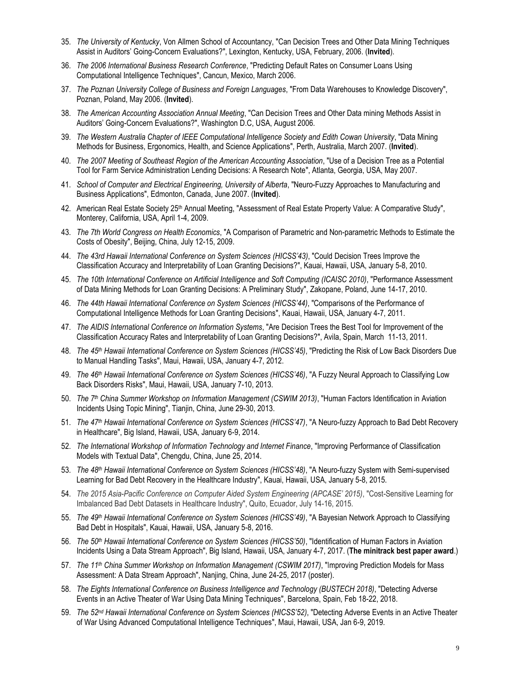- 35. *The University of Kentucky*, Von Allmen School of Accountancy, "Can Decision Trees and Other Data Mining Techniques Assist in Auditors' Going-Concern Evaluations?", Lexington, Kentucky, USA, February, 2006. (**Invited**).
- 36. *The 2006 International Business Research Conference*, "Predicting Default Rates on Consumer Loans Using Computational Intelligence Techniques", Cancun, Mexico, March 2006.
- 37. *The Poznan University College of Business and Foreign Languages*, "From Data Warehouses to Knowledge Discovery", Poznan, Poland, May 2006. (**Invited**).
- 38. *The American Accounting Association Annual Meeting*, "Can Decision Trees and Other Data mining Methods Assist in Auditors' Going-Concern Evaluations?", Washington D.C, USA, August 2006.
- 39. *The Western Australia Chapter of IEEE Computational Intelligence Society and Edith Cowan University*, "Data Mining Methods for Business, Ergonomics, Health, and Science Applications", Perth, Australia, March 2007. (**Invited**).
- 40. *The 2007 Meeting of Southeast Region of the American Accounting Association*, "Use of a Decision Tree as a Potential Tool for Farm Service Administration Lending Decisions: A Research Note", Atlanta, Georgia, USA, May 2007.
- 41. *School of Computer and Electrical Engineering, University of Alberta*, "Neuro-Fuzzy Approaches to Manufacturing and Business Applications", Edmonton, Canada, June 2007. (**Invited**).
- 42. American Real Estate Society 25th Annual Meeting, "Assessment of Real Estate Property Value: A Comparative Study", Monterey, California, USA, April 1-4, 2009.
- 43. *The 7th World Congress on Health Economics*, "A Comparison of Parametric and Non-parametric Methods to Estimate the Costs of Obesity", Beijing, China, July 12-15, 2009.
- 44. *The 43rd Hawaii International Conference on System Sciences (HICSS'43)*, "Could Decision Trees Improve the Classification Accuracy and Interpretability of Loan Granting Decisions?", Kauai, Hawaii, USA, January 5-8, 2010.
- 45. *The 10th International Conference on Artificial Intelligence and Soft Computing (ICAISC 2010)*, "Performance Assessment of Data Mining Methods for Loan Granting Decisions: A Preliminary Study", Zakopane, Poland, June 14-17, 2010.
- 46. *The 44th Hawaii International Conference on System Sciences (HICSS'44)*, "Comparisons of the Performance of Computational Intelligence Methods for Loan Granting Decisions", Kauai, Hawaii, USA, January 4-7, 2011.
- 47. *The AIDIS International Conference on Information Systems*, "Are Decision Trees the Best Tool for Improvement of the Classification Accuracy Rates and Interpretability of Loan Granting Decisions?", Avila, Spain, March 11-13, 2011.
- 48. *The 45th Hawaii International Conference on System Sciences (HICSS'45)*, "Predicting the Risk of Low Back Disorders Due to Manual Handling Tasks", Maui, Hawaii, USA, January 4-7, 2012.
- 49. *The 46th Hawaii International Conference on System Sciences (HICSS'46)*, "A Fuzzy Neural Approach to Classifying Low Back Disorders Risks", Maui, Hawaii, USA, January 7-10, 2013.
- 50. *The 7th China Summer Workshop on Information Management (CSWIM 2013)*, "Human Factors Identification in Aviation Incidents Using Topic Mining", Tianjin, China, June 29-30, 2013.
- 51. *The 47th Hawaii International Conference on System Sciences (HICSS'47)*, "A Neuro-fuzzy Approach to Bad Debt Recovery in Healthcare", Big Island, Hawaii, USA, January 6-9, 2014.
- 52. *The International Workshop of Information Technology and Internet Finance*, "Improving Performance of Classification Models with Textual Data", Chengdu, China, June 25, 2014.
- 53. *The 48th Hawaii International Conference on System Sciences (HICSS'48)*, "A Neuro-fuzzy System with Semi-supervised Learning for Bad Debt Recovery in the Healthcare Industry", Kauai, Hawaii, USA, January 5-8, 2015.
- 54. *The 2015 Asia-Pacific Conference on Computer Aided System Engineering (APCASE' 2015)*, "Cost-Sensitive Learning for Imbalanced Bad Debt Datasets in Healthcare Industry", Quito, Ecuador, July 14-16, 2015.
- 55. *The 49th Hawaii International Conference on System Sciences (HICSS'49)*, "A Bayesian Network Approach to Classifying Bad Debt in Hospitals", Kauai, Hawaii, USA, January 5-8, 2016.
- 56. *The 50th Hawaii International Conference on System Sciences (HICSS'50)*, "Identification of Human Factors in Aviation Incidents Using a Data Stream Approach", Big Island, Hawaii, USA, January 4-7, 2017. (**The minitrack best paper award**.)
- 57. *The 11th China Summer Workshop on Information Management (CSWIM 2017)*, "Improving Prediction Models for Mass Assessment: A Data Stream Approach", Nanjing, China, June 24-25, 2017 (poster).
- 58. *The Eights International Conference on Business Intelligence and Technology (BUSTECH 2018)*, "Detecting Adverse Events in an Active Theater of War Using Data Mining Techniques", Barcelona, Spain, Feb 18-22, 2018.
- 59. The 52<sup>nd</sup> Hawaii International Conference on System Sciences (HICSS'52), "Detecting Adverse Events in an Active Theater of War Using Advanced Computational Intelligence Techniques", Maui, Hawaii, USA, Jan 6-9, 2019.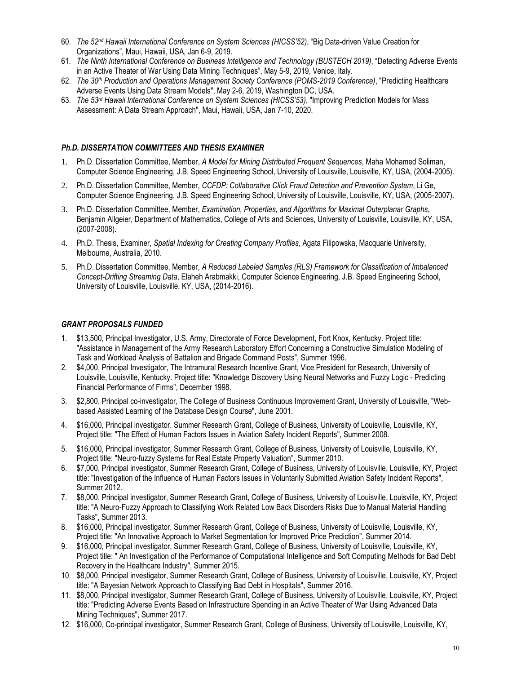- 60. *The 52 nd Hawaii International Conference on System Sciences (HICSS'52)*, "Big Data-driven Value Creation for Organizations", Maui, Hawaii, USA, Jan 6-9, 2019.
- 61. *The Ninth International Conference on Business Intelligence and Technology (BUSTECH 2019)*, "Detecting Adverse Events in an Active Theater of War Using Data Mining Techniques", May 5-9, 2019, Venice, Italy.
- 62. *The 30th Production and Operations Management Society Conference (POMS-2019 Conference)*, "Predicting Healthcare Adverse Events Using Data Stream Models", May 2-6, 2019, Washington DC, USA.
- 63. The 53<sup>rd</sup> Hawaii International Conference on System Sciences (HICSS'53), "Improving Prediction Models for Mass Assessment: A Data Stream Approach", Maui, Hawaii, USA, Jan 7-10, 2020.

#### *Ph.D. DISSERTATION COMMITTEES AND THESIS EXAMINER*

- 1. Ph.D. Dissertation Committee, Member, *A Model for Mining Distributed Frequent Sequences*, Maha Mohamed Soliman, Computer Science Engineering, J.B. Speed Engineering School, University of Louisville, Louisville, KY, USA, (2004-2005).
- 2. Ph.D. Dissertation Committee, Member, *CCFDP: Collaborative Click Fraud Detection and Prevention System*, Li Ge, Computer Science Engineering, J.B. Speed Engineering School, University of Louisville, Louisville, KY, USA, (2005-2007).
- 3. Ph.D. Dissertation Committee, Member, *Examination, Properties, and Algorithms for Maximal Outerplanar Graphs*, Benjamin Allgeier, Department of Mathematics, College of Arts and Sciences, University of Louisville, Louisville, KY, USA, (2007-2008).
- 4. Ph.D. Thesis, Examiner, *Spatial Indexing for Creating Company Profiles*, Agata Filipowska, Macquarie University, Melbourne, Australia, 2010.
- 5. Ph.D. Dissertation Committee, Member, *A Reduced Labeled Samples (RLS) Framework for Classification of Imbalanced Concept-Drifting Streaming Data*, Elaheh Arabmakki, Computer Science Engineering, J.B. Speed Engineering School, University of Louisville, Louisville, KY, USA, (2014-2016).

#### *GRANT PROPOSALS FUNDED*

- 1. \$13,500, Principal Investigator, U.S. Army, Directorate of Force Development, Fort Knox, Kentucky. Project title: "Assistance in Management of the Army Research Laboratory Effort Concerning a Constructive Simulation Modeling of Task and Workload Analysis of Battalion and Brigade Command Posts", Summer 1996.
- 2. \$4,000, Principal Investigator, The Intramural Research Incentive Grant, Vice President for Research, University of Louisville, Louisville, Kentucky. Project title: "Knowledge Discovery Using Neural Networks and Fuzzy Logic - Predicting Financial Performance of Firms", December 1998.
- 3. \$2,800, Principal co-investigator, The College of Business Continuous Improvement Grant, University of Louisville, "Webbased Assisted Learning of the Database Design Course", June 2001.
- 4. \$16,000, Principal investigator, Summer Research Grant, College of Business, University of Louisville, Louisville, KY, Project title: "The Effect of Human Factors Issues in Aviation Safety Incident Reports", Summer 2008.
- 5. \$16,000, Principal investigator, Summer Research Grant, College of Business, University of Louisville, Louisville, KY, Project title: "Neuro-fuzzy Systems for Real Estate Property Valuation", Summer 2010.
- 6. \$7,000, Principal investigator, Summer Research Grant, College of Business, University of Louisville, Louisville, KY, Project title: "Investigation of the Influence of Human Factors Issues in Voluntarily Submitted Aviation Safety Incident Reports", Summer 2012.
- 7. \$8,000, Principal investigator, Summer Research Grant, College of Business, University of Louisville, Louisville, KY, Project title: "A Neuro-Fuzzy Approach to Classifying Work Related Low Back Disorders Risks Due to Manual Material Handling Tasks", Summer 2013.
- 8. \$16,000, Principal investigator, Summer Research Grant, College of Business, University of Louisville, Louisville, KY, Project title: "An Innovative Approach to Market Segmentation for Improved Price Prediction", Summer 2014.
- 9. \$16,000, Principal investigator, Summer Research Grant, College of Business, University of Louisville, Louisville, KY, Project title: " An Investigation of the Performance of Computational Intelligence and Soft Computing Methods for Bad Debt Recovery in the Healthcare Industry", Summer 2015.
- 10. \$8,000, Principal investigator, Summer Research Grant, College of Business, University of Louisville, Louisville, KY, Project title: "A Bayesian Network Approach to Classifying Bad Debt in Hospitals", Summer 2016.
- 11. \$8,000, Principal investigator, Summer Research Grant, College of Business, University of Louisville, Louisville, KY, Project title: "Predicting Adverse Events Based on Infrastructure Spending in an Active Theater of War Using Advanced Data Mining Techniques", Summer 2017.
- 12. \$16,000, Co-principal investigator, Summer Research Grant, College of Business, University of Louisville, Louisville, KY,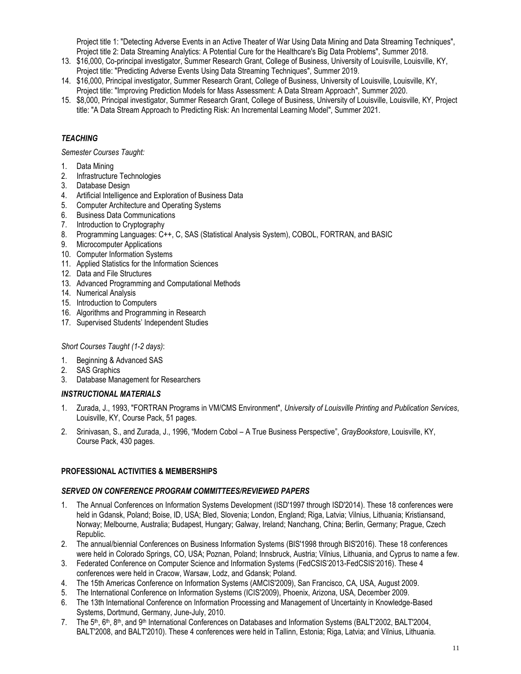Project title 1: "Detecting Adverse Events in an Active Theater of War Using Data Mining and Data Streaming Techniques", Project title 2: Data Streaming Analytics: A Potential Cure for the Healthcare's Big Data Problems", Summer 2018.

- 13. \$16,000, Co-principal investigator, Summer Research Grant, College of Business, University of Louisville, Louisville, KY, Project title: "Predicting Adverse Events Using Data Streaming Techniques", Summer 2019.
- 14. \$16,000, Principal investigator, Summer Research Grant, College of Business, University of Louisville, Louisville, KY,
- Project title: "Improving Prediction Models for Mass Assessment: A Data Stream Approach", Summer 2020. 15. \$8,000, Principal investigator, Summer Research Grant, College of Business, University of Louisville, Louisville, KY, Project
- title: "A Data Stream Approach to Predicting Risk: An Incremental Learning Model", Summer 2021.

### *TEACHING*

*Semester Courses Taught:*

- 1. Data Mining
- 2. Infrastructure Technologies
- 3. Database Design
- 4. Artificial Intelligence and Exploration of Business Data
- 5. Computer Architecture and Operating Systems
- 6. Business Data Communications
- 7. Introduction to Cryptography
- 8. Programming Languages: C++, C, SAS (Statistical Analysis System), COBOL, FORTRAN, and BASIC
- 9. Microcomputer Applications
- 10. Computer Information Systems
- 11. Applied Statistics for the Information Sciences
- 12. Data and File Structures
- 13. Advanced Programming and Computational Methods
- 14. Numerical Analysis
- 15. Introduction to Computers
- 16. Algorithms and Programming in Research
- 17. Supervised Students' Independent Studies

### *Short Courses Taught (1-2 days)*:

- 1. Beginning & Advanced SAS
- 2. SAS Graphics
- 3. Database Management for Researchers

#### *INSTRUCTIONAL MATERIALS*

- 1. Zurada, J., 1993, "FORTRAN Programs in VM/CMS Environment", *University of Louisville Printing and Publication Services*, Louisville, KY, Course Pack, 51 pages.
- 2. Srinivasan, S., and Zurada, J., 1996, "Modern Cobol A True Business Perspective", *GrayBookstore*, Louisville, KY, Course Pack, 430 pages.

### **PROFESSIONAL ACTIVITIES & MEMBERSHIPS**

#### *SERVED ON CONFERENCE PROGRAM COMMITTEES/REVIEWED PAPERS*

- 1. The Annual Conferences on Information Systems Development (ISD'1997 through ISD'2014). These 18 conferences were held in Gdansk, Poland; Boise, ID, USA; Bled, Slovenia; London, England; Riga, Latvia; Vilnius, Lithuania; Kristiansand, Norway; Melbourne, Australia; Budapest, Hungary; Galway, Ireland; Nanchang, China; Berlin, Germany; Prague, Czech Republic.
- 2. The annual/biennial Conferences on Business Information Systems (BIS'1998 through BIS'2016). These 18 conferences were held in Colorado Springs, CO, USA; Poznan, Poland; Innsbruck, Austria; Vilnius, Lithuania, and Cyprus to name a few.
- 3. Federated Conference on Computer Science and Information Systems (FedCSIS'2013-FedCSIS'2016). These 4 conferences were held in Cracow, Warsaw, Lodz, and Gdansk; Poland.
- 4. The 15th Americas Conference on Information Systems (AMCIS'2009), San Francisco, CA, USA, August 2009.
- 5. The International Conference on Information Systems (ICIS'2009), Phoenix, Arizona, USA, December 2009.
- 6. The 13th International Conference on Information Processing and Management of Uncertainty in Knowledge-Based Systems, Dortmund, Germany, June-July, 2010.
- 7. The 5<sup>th</sup>, 6<sup>th</sup>, 8<sup>th</sup>, and 9<sup>th</sup> International Conferences on Databases and Information Systems (BALT'2002, BALT'2004, BALT'2008, and BALT'2010). These 4 conferences were held in Tallinn, Estonia; Riga, Latvia; and Vilnius, Lithuania.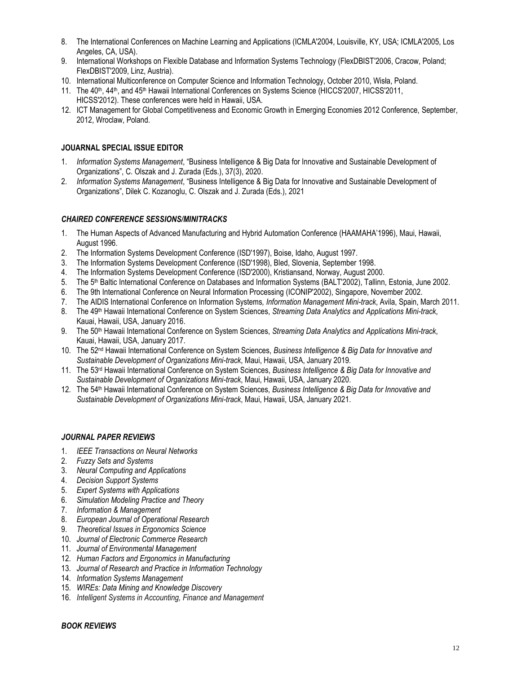- 8. The International Conferences on Machine Learning and Applications (ICMLA'2004, Louisville, KY, USA; ICMLA'2005, Los Angeles, CA, USA).
- 9. International Workshops on Flexible Database and Information Systems Technology (FlexDBIST'2006, Cracow, Poland; FlexDBIST'2009, Linz, Austria).
- 10. International Multiconference on Computer Science and Information Technology, October 2010, Wisła, Poland.
- 11. The 40<sup>th</sup>, 44<sup>th</sup>, and 45<sup>th</sup> Hawaii International Conferences on Systems Science (HICCS'2007, HICSS'2011, HICSS'2012). These conferences were held in Hawaii, USA.
- 12. ICT Management for Global Competitiveness and Economic Growth in Emerging Economies 2012 Conference, September, 2012, Wroclaw, Poland.

### **JOUARNAL SPECIAL ISSUE EDITOR**

- 1. *Information Systems Management*, "Business Intelligence & Big Data for Innovative and Sustainable Development of Organizations", C. Olszak and J. Zurada (Eds.), 37(3), 2020.
- 2. *Information Systems Management*, "Business Intelligence & Big Data for Innovative and Sustainable Development of Organizations", Dilek C. Kozanoglu, C. Olszak and J. Zurada (Eds.), 2021

#### *CHAIRED CONFERENCE SESSIONS/MINITRACKS*

- 1. The Human Aspects of Advanced Manufacturing and Hybrid Automation Conference (HAAMAHA'1996), Maui, Hawaii, August 1996.
- 2. The Information Systems Development Conference (ISD'1997), Boise, Idaho, August 1997.
- 3. The Information Systems Development Conference (ISD'1998), Bled, Slovenia, September 1998.
- 4. The Information Systems Development Conference (ISD'2000), Kristiansand, Norway, August 2000.
- 5. The 5th Baltic International Conference on Databases and Information Systems (BALT'2002), Tallinn, Estonia, June 2002.
- 6. The 9th International Conference on Neural Information Processing (ICONIP'2002), Singapore, November 2002.
- 7. The AIDIS International Conference on Information Systems*, Information Management Mini-track*, Avila, Spain, March 2011.
- 8. The 49<sup>th</sup> Hawaii International Conference on System Sciences, *Streaming Data Analytics and Applications Mini-track*, Kauai, Hawaii, USA, January 2016.
- 9. The 50<sup>th</sup> Hawaii International Conference on System Sciences, *Streaming Data Analytics and Applications Mini-track*, Kauai, Hawaii, USA, January 2017.
- 10. The 52nd Hawaii International Conference on System Sciences, *Business Intelligence & Big Data for Innovative and Sustainable Development of Organizations Mini-track*, Maui, Hawaii, USA, January 2019.
- 11. The 53<sup>rd</sup> Hawaii International Conference on System Sciences, *Business Intelligence & Big Data for Innovative and Sustainable Development of Organizations Mini-track*, Maui, Hawaii, USA, January 2020.
- 12. The 54<sup>th</sup> Hawaii International Conference on System Sciences, *Business Intelligence & Big Data for Innovative and Sustainable Development of Organizations Mini-track*, Maui, Hawaii, USA, January 2021.

#### *JOURNAL PAPER REVIEWS*

- 1. *IEEE Transactions on Neural Networks*
- 2. *Fuzzy Sets and Systems*
- 3. *Neural Computing and Applications*
- 4. *Decision Support Systems*
- 5. *Expert Systems with Applications*
- 6. *Simulation Modeling Practice and Theory*
- 7. *Information & Management*
- 8. *European Journal of Operational Research*
- 9. *Theoretical Issues in Ergonomics Science*
- 10. *Journal of Electronic Commerce Research*
- 11. *Journal of Environmental Management*
- 12. *Human Factors and Ergonomics in Manufacturing*
- 13. *Journal of Research and Practice in Information Technology*
- 14. *Information Systems Management*
- 15. *WIREs: Data Mining and Knowledge Discovery*
- 16. *Intelligent Systems in Accounting, Finance and Management*

#### *BOOK REVIEWS*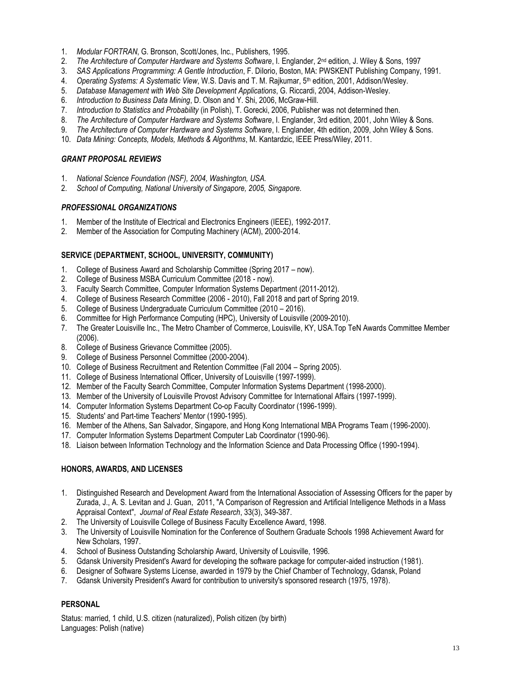- 1. *Modular FORTRAN*, G. Bronson, Scott/Jones, Inc., Publishers, 1995.
- 2. *The Architecture of Computer Hardware and Systems Software*, I. Englander, 2nd edition, J. Wiley & Sons, 1997
- 3. *SAS Applications Programming: A Gentle Introduction*, F. DiIorio, Boston, MA: PWSKENT Publishing Company, 1991.
- 4. *Operating Systems: A Systematic View*, W.S. Davis and T. M. Rajkumar, 5<sup>th</sup> edition, 2001, Addison/Wesley.
- 5. *Database Management with Web Site Development Applications*, G. Riccardi, 2004, Addison-Wesley.
- 6. *Introduction to Business Data Mining*, D. Olson and Y. Shi, 2006, McGraw-Hill.
- 7. *Introduction to Statistics and Probability* (in Polish), T. Gorecki, 2006, Publisher was not determined then.
- 8. *The Architecture of Computer Hardware and Systems Software*, I. Englander, 3rd edition, 2001, John Wiley & Sons.
- 9. *The Architecture of Computer Hardware and Systems Software*, I. Englander, 4th edition, 2009, John Wiley & Sons.
- 10. *Data Mining: Concepts, Models, Methods & Algorithms*, M. Kantardzic, IEEE Press/Wiley, 2011.

### *GRANT PROPOSAL REVIEWS*

- 1. *National Science Foundation (NSF), 2004, Washington, USA.*
- 2. *School of Computing, National University of Singapore, 2005, Singapore.*

### *PROFESSIONAL ORGANIZATIONS*

- 1. Member of the Institute of Electrical and Electronics Engineers (IEEE), 1992-2017.
- 2. Member of the Association for Computing Machinery (ACM), 2000-2014.

### **SERVICE (DEPARTMENT, SCHOOL, UNIVERSITY, COMMUNITY)**

- 1. College of Business Award and Scholarship Committee (Spring 2017 now).
- 2. College of Business MSBA Curriculum Committee (2018 now).
- 3. Faculty Search Committee, Computer Information Systems Department (2011-2012).
- 4. College of Business Research Committee (2006 2010), Fall 2018 and part of Spring 2019.
- 5. College of Business Undergraduate Curriculum Committee (2010 2016).
- 6. Committee for High Performance Computing (HPC), University of Louisville (2009-2010).
- 7. The Greater Louisville Inc., The Metro Chamber of Commerce, Louisville, KY, USA.Top TeN Awards Committee Member (2006).
- 8. College of Business Grievance Committee (2005).
- 9. College of Business Personnel Committee (2000-2004).
- 10. College of Business Recruitment and Retention Committee (Fall 2004 Spring 2005).
- 11. College of Business International Officer, University of Louisville (1997-1999).
- 12. Member of the Faculty Search Committee, Computer Information Systems Department (1998-2000).
- 13. Member of the University of Louisville Provost Advisory Committee for International Affairs (1997-1999).
- 14. Computer Information Systems Department Co-op Faculty Coordinator (1996-1999).
- 15. Students' and Part-time Teachers' Mentor (1990-1995).
- 16. Member of the Athens, San Salvador, Singapore, and Hong Kong International MBA Programs Team (1996-2000).
- 17. Computer Information Systems Department Computer Lab Coordinator (1990-96).
- 18. Liaison between Information Technology and the Information Science and Data Processing Office (1990-1994).

# **HONORS, AWARDS, AND LICENSES**

- 1. Distinguished Research and Development Award from the International Association of Assessing Officers for the paper by Zurada, J., A. S. Levitan and J. Guan, 2011, "A Comparison of Regression and Artificial Intelligence Methods in a Mass Appraisal Context", *Journal of Real Estate Research*, 33(3), 349-387.
- 2. The University of Louisville College of Business Faculty Excellence Award, 1998.
- 3. The University of Louisville Nomination for the Conference of Southern Graduate Schools 1998 Achievement Award for New Scholars, 1997.
- 4. School of Business Outstanding Scholarship Award, University of Louisville, 1996.
- 5. Gdansk University President's Award for developing the software package for computer-aided instruction (1981).
- 6. Designer of Software Systems License, awarded in 1979 by the Chief Chamber of Technology, Gdansk, Poland
- 7. Gdansk University President's Award for contribution to university's sponsored research (1975, 1978).

### **PERSONAL**

Status: married, 1 child, U.S. citizen (naturalized), Polish citizen (by birth) Languages: Polish (native)